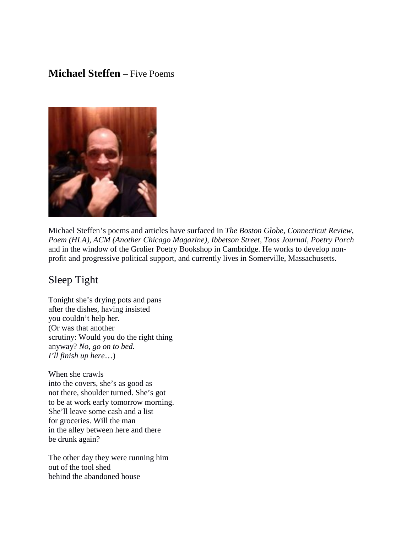## **Michael Steffen** – Five Poems



Michael Steffen's poems and articles have surfaced in *The Boston Globe, Connecticut Review, Poem (HLA), ACM (Another Chicago Magazine), Ibbetson Street, Taos Journal, Poetry Porch* and in the window of the Grolier Poetry Bookshop in Cambridge. He works to develop nonprofit and progressive political support, and currently lives in Somerville, Massachusetts.

# Sleep Tight

Tonight she's drying pots and pans after the dishes, having insisted you couldn't help her. (Or was that another scrutiny: Would you do the right thing anyway? *No, go on to bed. I'll finish up here*…)

When she crawls into the covers, she's as good as not there, shoulder turned. She's got to be at work early tomorrow morning. She'll leave some cash and a list for groceries. Will the man in the alley between here and there be drunk again?

The other day they were running him out of the tool shed behind the abandoned house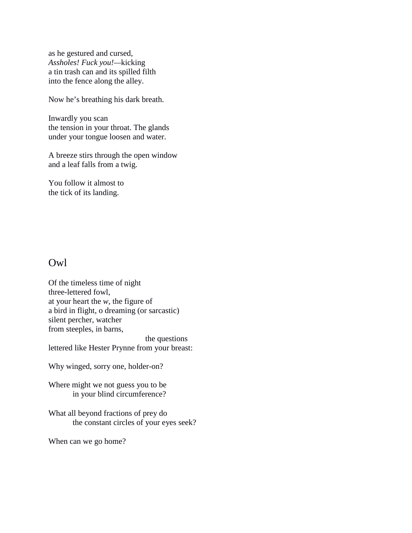as he gestured and cursed, *Assholes! Fuck you!—*kicking a tin trash can and its spilled filth into the fence along the alley.

Now he's breathing his dark breath.

Inwardly you scan the tension in your throat. The glands under your tongue loosen and water.

A breeze stirs through the open window and a leaf falls from a twig.

You follow it almost to the tick of its landing.

#### Owl

Of the timeless time of night three-lettered fowl, at your heart the *w*, the figure of a bird in flight, o dreaming (or sarcastic) silent percher, watcher from steeples, in barns, the questions lettered like Hester Prynne from your breast:

Why winged, sorry one, holder-on?

Where might we not guess you to be in your blind circumference?

What all beyond fractions of prey do the constant circles of your eyes seek?

When can we go home?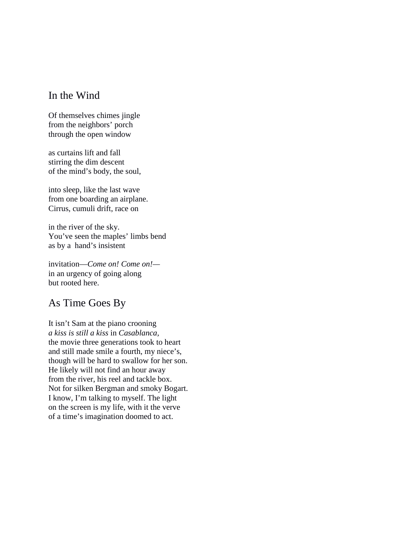## In the Wind

Of themselves chimes jingle from the neighbors' porch through the open window

as curtains lift and fall stirring the dim descent of the mind's body, the soul,

into sleep, like the last wave from one boarding an airplane. Cirrus, cumuli drift, race on

in the river of the sky. You've seen the maples' limbs bend as by a hand's insistent

invitation—*Come on! Come on!* in an urgency of going along but rooted here.

# As Time Goes By

It isn't Sam at the piano crooning *a kiss is still a kiss* in *Casablanca,* the movie three generations took to heart and still made smile a fourth, my niece's, though will be hard to swallow for her son. He likely will not find an hour away from the river, his reel and tackle box. Not for silken Bergman and smoky Bogart. I know, I'm talking to myself. The light on the screen is my life, with it the verve of a time's imagination doomed to act.